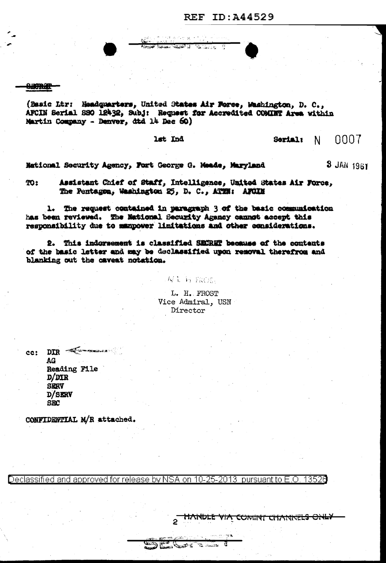**SHORET** 

(Basic Ltr: Headquarters, United States Air Force, Washington, D. C., AFCIN Serial SSO 12432, Subj: Request for Accredited COMINT Area within Martin Company - Denver, dtd 14 Dec 60)

供当合的 民主制 أنا فتحشقه عصعه

Carles Allen

lst Ind

0007 Serial:  $N$ 

**3 JAN 1961** 

National Security Agency, Fort George G. Meade, Maryland

Assistant Chief of Staff, Intelligence, United States Air Force, **TO:** The Pentagen, Washington 25, D. C., ATTH: AFGIN

1. The request contained in paragraph 3 of the basic communication has been reviewed. The National Security Agency cannot accept this responsibility due to manpower limitations and other considerations.

2. This indorsement is classified SECRET because of the contents of the basic letter and may be declassified upon removal therefrom and blanking out the caveat notation.

> L. H. FROST Vice Admiral, USN Director

**对美新 致感。** 

 $cc:$  DIR  $\equiv$ AG Reading File  $D/DIR$ **SIGRY** D/SERV **SBC** 

CONFIDENTIAL M/R attached.

Declassified and approved for release by NSA on 10-25-2013 pursuant to E.O. 13526

**DE** 

**ANDRE DELLER** 

a

HANDLE VIA COMINT CHANNELS ONLY